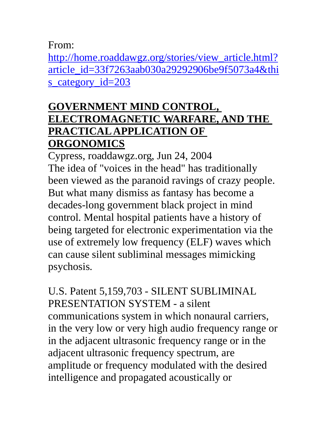From:

http://home.roaddawgz.org/stories/view\_article.html? article\_id=33f7263aab030a29292906be9f5073a4&thi s\_category\_id=203

### **GOVERNMENT MIND CONTROL, ELECTROMAGNETIC WARFARE, AND THE PRACTICAL APPLICATION OF ORGONOMICS**

Cypress, roaddawgz.org, Jun 24, 2004 The idea of "voices in the head" has traditionally been viewed as the paranoid ravings of crazy people. But what many dismiss as fantasy has become a decades-long government black project in mind control. Mental hospital patients have a history of being targeted for electronic experimentation via the use of extremely low frequency (ELF) waves which can cause silent subliminal messages mimicking psychosis.

U.S. Patent 5,159,703 - SILENT SUBLIMINAL PRESENTATION SYSTEM - a silent communications system in which nonaural carriers, in the very low or very high audio frequency range or in the adjacent ultrasonic frequency range or in the adjacent ultrasonic frequency spectrum, are amplitude or frequency modulated with the desired intelligence and propagated acoustically or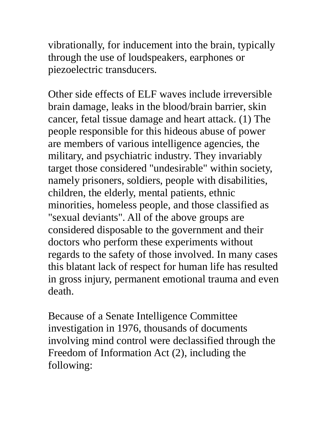vibrationally, for inducement into the brain, typically through the use of loudspeakers, earphones or piezoelectric transducers.

Other side effects of ELF waves include irreversible brain damage, leaks in the blood/brain barrier, skin cancer, fetal tissue damage and heart attack. (1) The people responsible for this hideous abuse of power are members of various intelligence agencies, the military, and psychiatric industry. They invariably target those considered "undesirable" within society, namely prisoners, soldiers, people with disabilities, children, the elderly, mental patients, ethnic minorities, homeless people, and those classified as "sexual deviants". All of the above groups are considered disposable to the government and their doctors who perform these experiments without regards to the safety of those involved. In many cases this blatant lack of respect for human life has resulted in gross injury, permanent emotional trauma and even death.

Because of a Senate Intelligence Committee investigation in 1976, thousands of documents involving mind control were declassified through the Freedom of Information Act (2), including the following: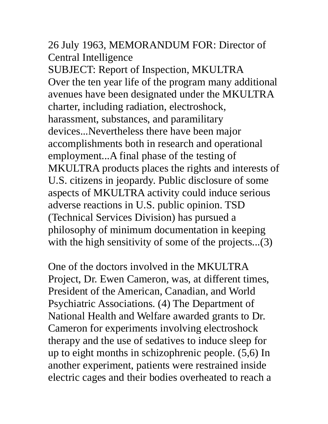### 26 July 1963, MEMORANDUM FOR: Director of Central Intelligence

SUBJECT: Report of Inspection, MKULTRA Over the ten year life of the program many additional avenues have been designated under the MKULTRA charter, including radiation, electroshock, harassment, substances, and paramilitary devices...Nevertheless there have been major accomplishments both in research and operational employment...A final phase of the testing of MKULTRA products places the rights and interests of U.S. citizens in jeopardy. Public disclosure of some aspects of MKULTRA activity could induce serious adverse reactions in U.S. public opinion. TSD (Technical Services Division) has pursued a philosophy of minimum documentation in keeping with the high sensitivity of some of the projects...(3)

One of the doctors involved in the MKULTRA Project, Dr. Ewen Cameron, was, at different times, President of the American, Canadian, and World Psychiatric Associations. (4) The Department of National Health and Welfare awarded grants to Dr. Cameron for experiments involving electroshock therapy and the use of sedatives to induce sleep for up to eight months in schizophrenic people. (5,6) In another experiment, patients were restrained inside electric cages and their bodies overheated to reach a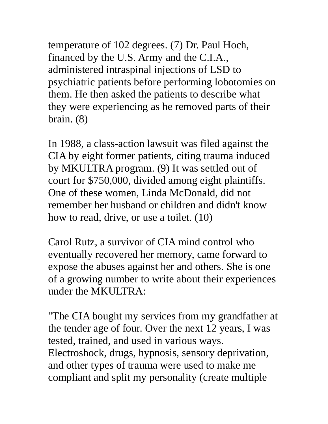temperature of 102 degrees. (7) Dr. Paul Hoch, financed by the U.S. Army and the C.I.A., administered intraspinal injections of LSD to psychiatric patients before performing lobotomies on them. He then asked the patients to describe what they were experiencing as he removed parts of their brain. (8)

In 1988, a class-action lawsuit was filed against the CIA by eight former patients, citing trauma induced by MKULTRA program. (9) It was settled out of court for \$750,000, divided among eight plaintiffs. One of these women, Linda McDonald, did not remember her husband or children and didn't know how to read, drive, or use a toilet. (10)

Carol Rutz, a survivor of CIA mind control who eventually recovered her memory, came forward to expose the abuses against her and others. She is one of a growing number to write about their experiences under the MKULTRA:

"The CIA bought my services from my grandfather at the tender age of four. Over the next 12 years, I was tested, trained, and used in various ways. Electroshock, drugs, hypnosis, sensory deprivation, and other types of trauma were used to make me compliant and split my personality (create multiple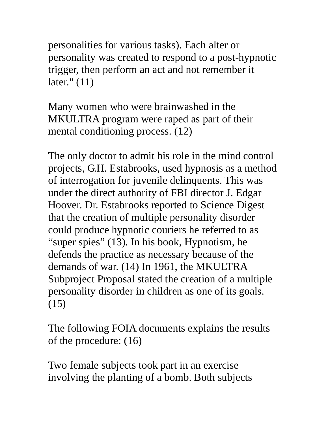personalities for various tasks). Each alter or personality was created to respond to a post-hypnotic trigger, then perform an act and not remember it later." (11)

Many women who were brainwashed in the MKULTRA program were raped as part of their mental conditioning process. (12)

The only doctor to admit his role in the mind control projects, G.H. Estabrooks, used hypnosis as a method of interrogation for juvenile delinquents. This was under the direct authority of FBI director J. Edgar Hoover. Dr. Estabrooks reported to Science Digest that the creation of multiple personality disorder could produce hypnotic couriers he referred to as "super spies" (13). In his book, Hypnotism, he defends the practice as necessary because of the demands of war. (14) In 1961, the MKULTRA Subproject Proposal stated the creation of a multiple personality disorder in children as one of its goals. (15)

The following FOIA documents explains the results of the procedure: (16)

Two female subjects took part in an exercise involving the planting of a bomb. Both subjects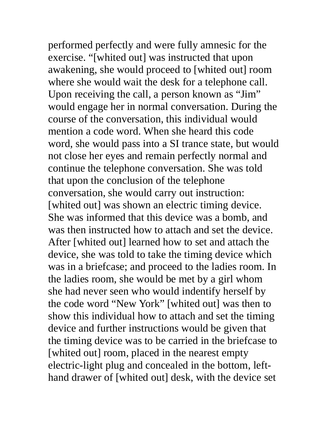performed perfectly and were fully amnesic for the exercise. "[whited out] was instructed that upon awakening, she would proceed to [whited out] room where she would wait the desk for a telephone call. Upon receiving the call, a person known as "Jim" would engage her in normal conversation. During the course of the conversation, this individual would mention a code word. When she heard this code word, she would pass into a SI trance state, but would not close her eyes and remain perfectly normal and continue the telephone conversation. She was told that upon the conclusion of the telephone conversation, she would carry out instruction: [whited out] was shown an electric timing device. She was informed that this device was a bomb, and was then instructed how to attach and set the device. After [whited out] learned how to set and attach the device, she was told to take the timing device which was in a briefcase; and proceed to the ladies room. In the ladies room, she would be met by a girl whom she had never seen who would indentify herself by the code word "New York" [whited out] was then to show this individual how to attach and set the timing device and further instructions would be given that the timing device was to be carried in the briefcase to [whited out] room, placed in the nearest empty electric-light plug and concealed in the bottom, lefthand drawer of [whited out] desk, with the device set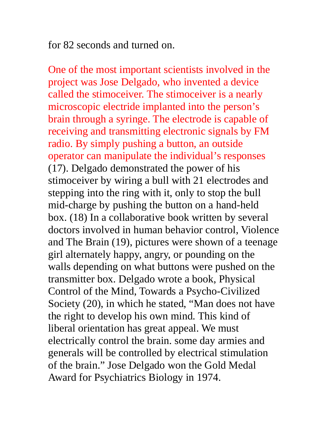for 82 seconds and turned on.

One of the most important scientists involved in the project was Jose Delgado, who invented a device called the stimoceiver. The stimoceiver is a nearly microscopic electride implanted into the person's brain through a syringe. The electrode is capable of receiving and transmitting electronic signals by FM radio. By simply pushing a button, an outside operator can manipulate the individual's responses (17). Delgado demonstrated the power of his stimoceiver by wiring a bull with 21 electrodes and stepping into the ring with it, only to stop the bull mid-charge by pushing the button on a hand-held box. (18) In a collaborative book written by several doctors involved in human behavior control, Violence and The Brain (19), pictures were shown of a teenage girl alternately happy, angry, or pounding on the walls depending on what buttons were pushed on the transmitter box. Delgado wrote a book, Physical Control of the Mind, Towards a Psycho-Civilized Society (20), in which he stated, "Man does not have the right to develop his own mind. This kind of liberal orientation has great appeal. We must electrically control the brain. some day armies and generals will be controlled by electrical stimulation of the brain." Jose Delgado won the Gold Medal Award for Psychiatrics Biology in 1974.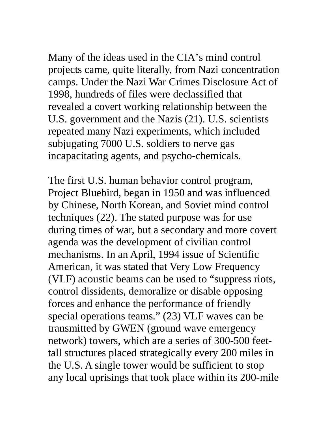Many of the ideas used in the CIA's mind control projects came, quite literally, from Nazi concentration camps. Under the Nazi War Crimes Disclosure Act of 1998, hundreds of files were declassified that revealed a covert working relationship between the U.S. government and the Nazis (21). U.S. scientists repeated many Nazi experiments, which included subjugating 7000 U.S. soldiers to nerve gas incapacitating agents, and psycho-chemicals.

The first U.S. human behavior control program, Project Bluebird, began in 1950 and was influenced by Chinese, North Korean, and Soviet mind control techniques (22). The stated purpose was for use during times of war, but a secondary and more covert agenda was the development of civilian control mechanisms. In an April, 1994 issue of Scientific American, it was stated that Very Low Frequency (VLF) acoustic beams can be used to "suppress riots, control dissidents, demoralize or disable opposing forces and enhance the performance of friendly special operations teams." (23) VLF waves can be transmitted by GWEN (ground wave emergency network) towers, which are a series of 300-500 feettall structures placed strategically every 200 miles in the U.S. A single tower would be sufficient to stop any local uprisings that took place within its 200-mile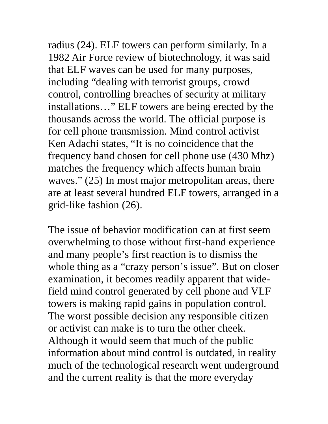radius (24). ELF towers can perform similarly. In a 1982 Air Force review of biotechnology, it was said that ELF waves can be used for many purposes, including "dealing with terrorist groups, crowd control, controlling breaches of security at military installations…" ELF towers are being erected by the thousands across the world. The official purpose is for cell phone transmission. Mind control activist Ken Adachi states, "It is no coincidence that the frequency band chosen for cell phone use (430 Mhz) matches the frequency which affects human brain waves." (25) In most major metropolitan areas, there are at least several hundred ELF towers, arranged in a grid-like fashion (26).

The issue of behavior modification can at first seem overwhelming to those without first-hand experience and many people's first reaction is to dismiss the whole thing as a "crazy person's issue". But on closer examination, it becomes readily apparent that widefield mind control generated by cell phone and VLF towers is making rapid gains in population control. The worst possible decision any responsible citizen or activist can make is to turn the other cheek. Although it would seem that much of the public information about mind control is outdated, in reality much of the technological research went underground and the current reality is that the more everyday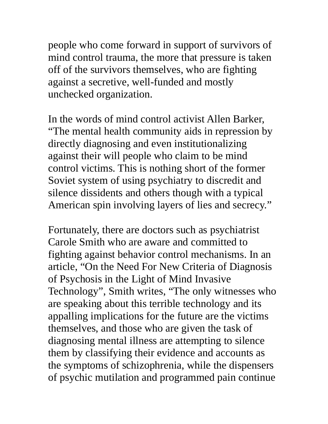people who come forward in support of survivors of mind control trauma, the more that pressure is taken off of the survivors themselves, who are fighting against a secretive, well-funded and mostly unchecked organization.

In the words of mind control activist Allen Barker, "The mental health community aids in repression by directly diagnosing and even institutionalizing against their will people who claim to be mind control victims. This is nothing short of the former Soviet system of using psychiatry to discredit and silence dissidents and others though with a typical American spin involving layers of lies and secrecy."

Fortunately, there are doctors such as psychiatrist Carole Smith who are aware and committed to fighting against behavior control mechanisms. In an article, "On the Need For New Criteria of Diagnosis of Psychosis in the Light of Mind Invasive Technology", Smith writes, "The only witnesses who are speaking about this terrible technology and its appalling implications for the future are the victims themselves, and those who are given the task of diagnosing mental illness are attempting to silence them by classifying their evidence and accounts as the symptoms of schizophrenia, while the dispensers of psychic mutilation and programmed pain continue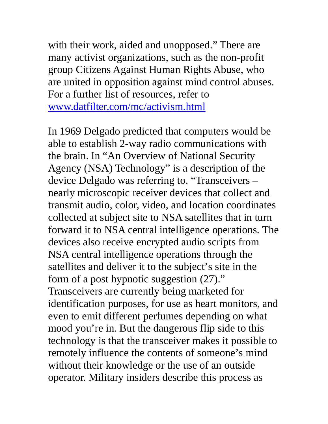with their work, aided and unopposed." There are many activist organizations, such as the non-profit group Citizens Against Human Rights Abuse, who are united in opposition against mind control abuses. For a further list of resources, refer to www.datfilter.com/mc/activism.html

In 1969 Delgado predicted that computers would be able to establish 2-way radio communications with the brain. In "An Overview of National Security Agency (NSA) Technology" is a description of the device Delgado was referring to. "Transceivers – nearly microscopic receiver devices that collect and transmit audio, color, video, and location coordinates collected at subject site to NSA satellites that in turn forward it to NSA central intelligence operations. The devices also receive encrypted audio scripts from NSA central intelligence operations through the satellites and deliver it to the subject's site in the form of a post hypnotic suggestion (27)." Transceivers are currently being marketed for identification purposes, for use as heart monitors, and even to emit different perfumes depending on what mood you're in. But the dangerous flip side to this technology is that the transceiver makes it possible to remotely influence the contents of someone's mind without their knowledge or the use of an outside operator. Military insiders describe this process as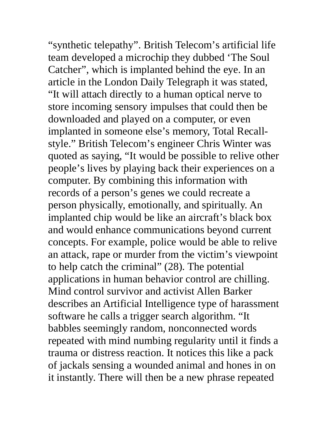"synthetic telepathy". British Telecom's artificial life team developed a microchip they dubbed 'The Soul Catcher", which is implanted behind the eye. In an article in the London Daily Telegraph it was stated, "It will attach directly to a human optical nerve to store incoming sensory impulses that could then be downloaded and played on a computer, or even implanted in someone else's memory, Total Recallstyle." British Telecom's engineer Chris Winter was quoted as saying, "It would be possible to relive other people's lives by playing back their experiences on a computer. By combining this information with records of a person's genes we could recreate a person physically, emotionally, and spiritually. An implanted chip would be like an aircraft's black box and would enhance communications beyond current concepts. For example, police would be able to relive an attack, rape or murder from the victim's viewpoint to help catch the criminal" (28). The potential applications in human behavior control are chilling. Mind control survivor and activist Allen Barker describes an Artificial Intelligence type of harassment software he calls a trigger search algorithm. "It babbles seemingly random, nonconnected words repeated with mind numbing regularity until it finds a trauma or distress reaction. It notices this like a pack of jackals sensing a wounded animal and hones in on it instantly. There will then be a new phrase repeated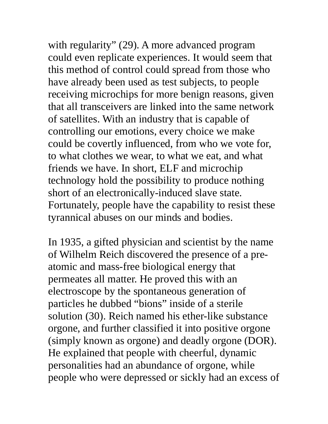with regularity" (29). A more advanced program could even replicate experiences. It would seem that this method of control could spread from those who have already been used as test subjects, to people receiving microchips for more benign reasons, given that all transceivers are linked into the same network of satellites. With an industry that is capable of controlling our emotions, every choice we make could be covertly influenced, from who we vote for, to what clothes we wear, to what we eat, and what friends we have. In short, ELF and microchip technology hold the possibility to produce nothing short of an electronically-induced slave state. Fortunately, people have the capability to resist these tyrannical abuses on our minds and bodies.

In 1935, a gifted physician and scientist by the name of Wilhelm Reich discovered the presence of a preatomic and mass-free biological energy that permeates all matter. He proved this with an electroscope by the spontaneous generation of particles he dubbed "bions" inside of a sterile solution (30). Reich named his ether-like substance orgone, and further classified it into positive orgone (simply known as orgone) and deadly orgone (DOR). He explained that people with cheerful, dynamic personalities had an abundance of orgone, while people who were depressed or sickly had an excess of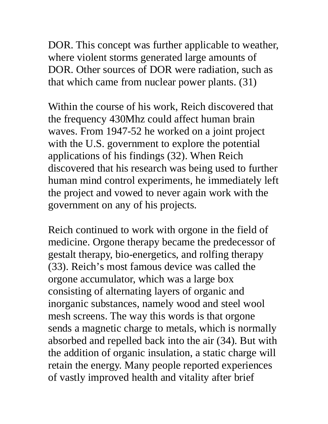DOR. This concept was further applicable to weather, where violent storms generated large amounts of DOR. Other sources of DOR were radiation, such as that which came from nuclear power plants. (31)

Within the course of his work, Reich discovered that the frequency 430Mhz could affect human brain waves. From 1947-52 he worked on a joint project with the U.S. government to explore the potential applications of his findings (32). When Reich discovered that his research was being used to further human mind control experiments, he immediately left the project and vowed to never again work with the government on any of his projects.

Reich continued to work with orgone in the field of medicine. Orgone therapy became the predecessor of gestalt therapy, bio-energetics, and rolfing therapy (33). Reich's most famous device was called the orgone accumulator, which was a large box consisting of alternating layers of organic and inorganic substances, namely wood and steel wool mesh screens. The way this words is that orgone sends a magnetic charge to metals, which is normally absorbed and repelled back into the air (34). But with the addition of organic insulation, a static charge will retain the energy. Many people reported experiences of vastly improved health and vitality after brief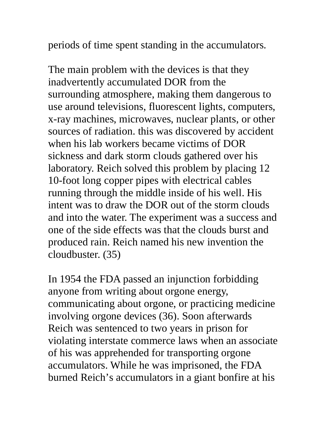periods of time spent standing in the accumulators.

The main problem with the devices is that they inadvertently accumulated DOR from the surrounding atmosphere, making them dangerous to use around televisions, fluorescent lights, computers, x-ray machines, microwaves, nuclear plants, or other sources of radiation. this was discovered by accident when his lab workers became victims of DOR sickness and dark storm clouds gathered over his laboratory. Reich solved this problem by placing 12 10-foot long copper pipes with electrical cables running through the middle inside of his well. His intent was to draw the DOR out of the storm clouds and into the water. The experiment was a success and one of the side effects was that the clouds burst and produced rain. Reich named his new invention the cloudbuster. (35)

In 1954 the FDA passed an injunction forbidding anyone from writing about orgone energy, communicating about orgone, or practicing medicine involving orgone devices (36). Soon afterwards Reich was sentenced to two years in prison for violating interstate commerce laws when an associate of his was apprehended for transporting orgone accumulators. While he was imprisoned, the FDA burned Reich's accumulators in a giant bonfire at his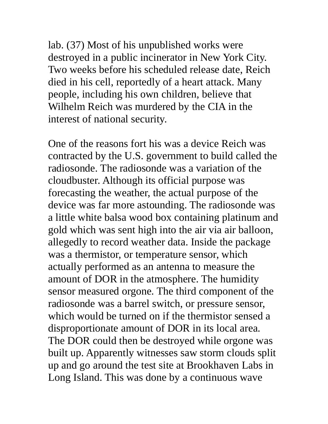lab. (37) Most of his unpublished works were destroyed in a public incinerator in New York City. Two weeks before his scheduled release date, Reich died in his cell, reportedly of a heart attack. Many people, including his own children, believe that Wilhelm Reich was murdered by the CIA in the interest of national security.

One of the reasons fort his was a device Reich was contracted by the U.S. government to build called the radiosonde. The radiosonde was a variation of the cloudbuster. Although its official purpose was forecasting the weather, the actual purpose of the device was far more astounding. The radiosonde was a little white balsa wood box containing platinum and gold which was sent high into the air via air balloon, allegedly to record weather data. Inside the package was a thermistor, or temperature sensor, which actually performed as an antenna to measure the amount of DOR in the atmosphere. The humidity sensor measured orgone. The third component of the radiosonde was a barrel switch, or pressure sensor, which would be turned on if the thermistor sensed a disproportionate amount of DOR in its local area. The DOR could then be destroyed while orgone was built up. Apparently witnesses saw storm clouds split up and go around the test site at Brookhaven Labs in Long Island. This was done by a continuous wave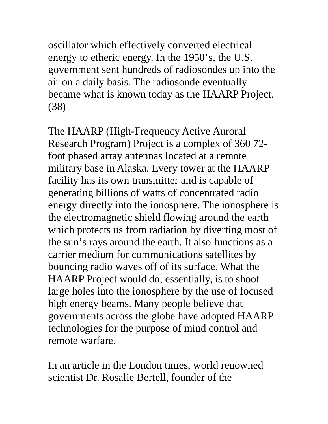oscillator which effectively converted electrical energy to etheric energy. In the 1950's, the U.S. government sent hundreds of radiosondes up into the air on a daily basis. The radiosonde eventually became what is known today as the HAARP Project. (38)

The HAARP (High-Frequency Active Auroral Research Program) Project is a complex of 360 72 foot phased array antennas located at a remote military base in Alaska. Every tower at the HAARP facility has its own transmitter and is capable of generating billions of watts of concentrated radio energy directly into the ionosphere. The ionosphere is the electromagnetic shield flowing around the earth which protects us from radiation by diverting most of the sun's rays around the earth. It also functions as a carrier medium for communications satellites by bouncing radio waves off of its surface. What the HAARP Project would do, essentially, is to shoot large holes into the ionosphere by the use of focused high energy beams. Many people believe that governments across the globe have adopted HAARP technologies for the purpose of mind control and remote warfare.

In an article in the London times, world renowned scientist Dr. Rosalie Bertell, founder of the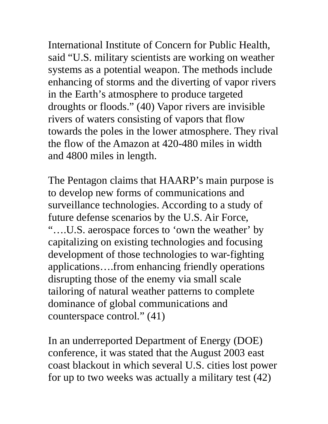International Institute of Concern for Public Health, said "U.S. military scientists are working on weather systems as a potential weapon. The methods include enhancing of storms and the diverting of vapor rivers in the Earth's atmosphere to produce targeted droughts or floods." (40) Vapor rivers are invisible rivers of waters consisting of vapors that flow towards the poles in the lower atmosphere. They rival the flow of the Amazon at 420-480 miles in width and 4800 miles in length.

The Pentagon claims that HAARP's main purpose is to develop new forms of communications and surveillance technologies. According to a study of future defense scenarios by the U.S. Air Force, "….U.S. aerospace forces to 'own the weather' by capitalizing on existing technologies and focusing development of those technologies to war-fighting applications….from enhancing friendly operations disrupting those of the enemy via small scale tailoring of natural weather patterns to complete dominance of global communications and counterspace control." (41)

In an underreported Department of Energy (DOE) conference, it was stated that the August 2003 east coast blackout in which several U.S. cities lost power for up to two weeks was actually a military test (42)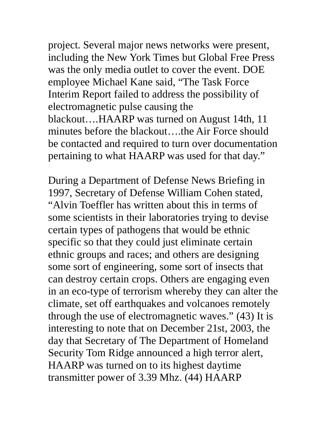project. Several major news networks were present, including the New York Times but Global Free Press was the only media outlet to cover the event. DOE employee Michael Kane said, "The Task Force Interim Report failed to address the possibility of electromagnetic pulse causing the blackout….HAARP was turned on August 14th, 11 minutes before the blackout….the Air Force should be contacted and required to turn over documentation pertaining to what HAARP was used for that day."

During a Department of Defense News Briefing in 1997, Secretary of Defense William Cohen stated, "Alvin Toeffler has written about this in terms of some scientists in their laboratories trying to devise certain types of pathogens that would be ethnic specific so that they could just eliminate certain ethnic groups and races; and others are designing some sort of engineering, some sort of insects that can destroy certain crops. Others are engaging even in an eco-type of terrorism whereby they can alter the climate, set off earthquakes and volcanoes remotely through the use of electromagnetic waves." (43) It is interesting to note that on December 21st, 2003, the day that Secretary of The Department of Homeland Security Tom Ridge announced a high terror alert, HAARP was turned on to its highest daytime transmitter power of 3.39 Mhz. (44) HAARP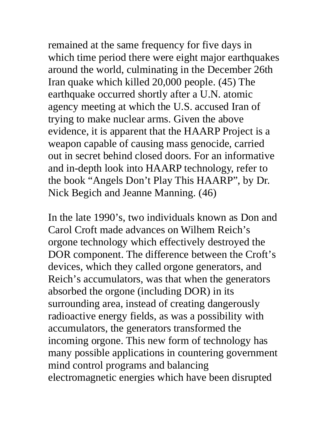remained at the same frequency for five days in which time period there were eight major earthquakes around the world, culminating in the December 26th Iran quake which killed 20,000 people. (45) The earthquake occurred shortly after a U.N. atomic agency meeting at which the U.S. accused Iran of trying to make nuclear arms. Given the above evidence, it is apparent that the HAARP Project is a weapon capable of causing mass genocide, carried out in secret behind closed doors. For an informative and in-depth look into HAARP technology, refer to the book "Angels Don't Play This HAARP", by Dr. Nick Begich and Jeanne Manning. (46)

In the late 1990's, two individuals known as Don and Carol Croft made advances on Wilhem Reich's orgone technology which effectively destroyed the DOR component. The difference between the Croft's devices, which they called orgone generators, and Reich's accumulators, was that when the generators absorbed the orgone (including DOR) in its surrounding area, instead of creating dangerously radioactive energy fields, as was a possibility with accumulators, the generators transformed the incoming orgone. This new form of technology has many possible applications in countering government mind control programs and balancing electromagnetic energies which have been disrupted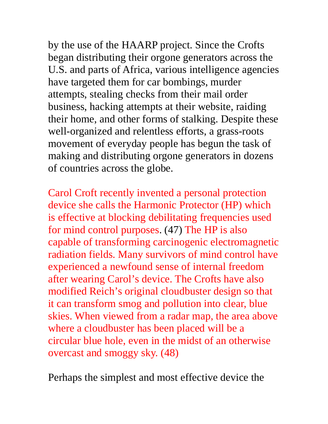by the use of the HAARP project. Since the Crofts began distributing their orgone generators across the U.S. and parts of Africa, various intelligence agencies have targeted them for car bombings, murder attempts, stealing checks from their mail order business, hacking attempts at their website, raiding their home, and other forms of stalking. Despite these well-organized and relentless efforts, a grass-roots movement of everyday people has begun the task of making and distributing orgone generators in dozens of countries across the globe.

Carol Croft recently invented a personal protection device she calls the Harmonic Protector (HP) which is effective at blocking debilitating frequencies used for mind control purposes. (47) The HP is also capable of transforming carcinogenic electromagnetic radiation fields. Many survivors of mind control have experienced a newfound sense of internal freedom after wearing Carol's device. The Crofts have also modified Reich's original cloudbuster design so that it can transform smog and pollution into clear, blue skies. When viewed from a radar map, the area above where a cloudbuster has been placed will be a circular blue hole, even in the midst of an otherwise overcast and smoggy sky. (48)

Perhaps the simplest and most effective device the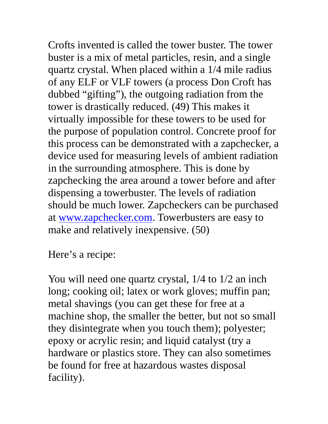Crofts invented is called the tower buster. The tower buster is a mix of metal particles, resin, and a single quartz crystal. When placed within a 1/4 mile radius of any ELF or VLF towers (a process Don Croft has dubbed "gifting"), the outgoing radiation from the tower is drastically reduced. (49) This makes it virtually impossible for these towers to be used for the purpose of population control. Concrete proof for this process can be demonstrated with a zapchecker, a device used for measuring levels of ambient radiation in the surrounding atmosphere. This is done by zapchecking the area around a tower before and after dispensing a towerbuster. The levels of radiation should be much lower. Zapcheckers can be purchased at www.zapchecker.com. Towerbusters are easy to make and relatively inexpensive. (50)

Here's a recipe:

You will need one quartz crystal, 1/4 to 1/2 an inch long; cooking oil; latex or work gloves; muffin pan; metal shavings (you can get these for free at a machine shop, the smaller the better, but not so small they disintegrate when you touch them); polyester; epoxy or acrylic resin; and liquid catalyst (try a hardware or plastics store. They can also sometimes be found for free at hazardous wastes disposal facility).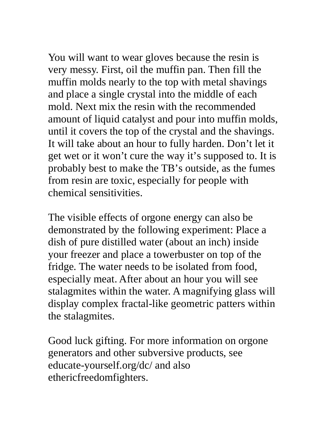You will want to wear gloves because the resin is very messy. First, oil the muffin pan. Then fill the muffin molds nearly to the top with metal shavings and place a single crystal into the middle of each mold. Next mix the resin with the recommended amount of liquid catalyst and pour into muffin molds, until it covers the top of the crystal and the shavings. It will take about an hour to fully harden. Don't let it get wet or it won't cure the way it's supposed to. It is probably best to make the TB's outside, as the fumes from resin are toxic, especially for people with chemical sensitivities.

The visible effects of orgone energy can also be demonstrated by the following experiment: Place a dish of pure distilled water (about an inch) inside your freezer and place a towerbuster on top of the fridge. The water needs to be isolated from food, especially meat. After about an hour you will see stalagmites within the water. A magnifying glass will display complex fractal-like geometric patters within the stalagmites.

Good luck gifting. For more information on orgone generators and other subversive products, see educate-yourself.org/dc/ and also ethericfreedomfighters.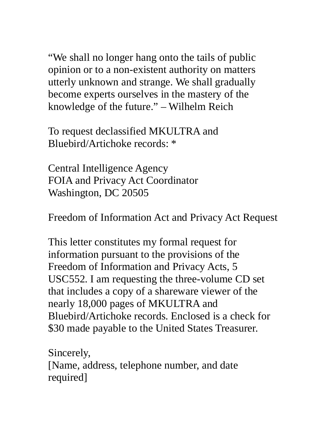"We shall no longer hang onto the tails of public opinion or to a non-existent authority on matters utterly unknown and strange. We shall gradually become experts ourselves in the mastery of the knowledge of the future." – Wilhelm Reich

To request declassified MKULTRA and Bluebird/Artichoke records: \*

Central Intelligence Agency FOIA and Privacy Act Coordinator Washington, DC 20505

Freedom of Information Act and Privacy Act Request

This letter constitutes my formal request for information pursuant to the provisions of the Freedom of Information and Privacy Acts, 5 USC552. I am requesting the three-volume CD set that includes a copy of a shareware viewer of the nearly 18,000 pages of MKULTRA and Bluebird/Artichoke records. Enclosed is a check for \$30 made payable to the United States Treasurer.

Sincerely, [Name, address, telephone number, and date required]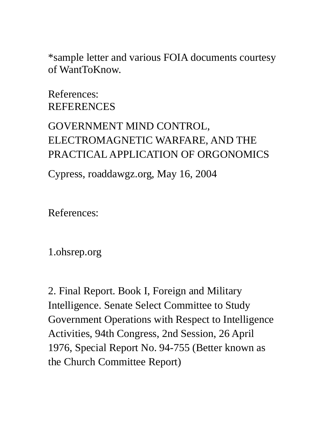\*sample letter and various FOIA documents courtesy of WantToKnow.

References: **REFERENCES** 

# GOVERNMENT MIND CONTROL, ELECTROMAGNETIC WARFARE, AND THE PRACTICAL APPLICATION OF ORGONOMICS

Cypress, roaddawgz.org, May 16, 2004

References:

1.ohsrep.org

2. Final Report. Book I, Foreign and Military Intelligence. Senate Select Committee to Study Government Operations with Respect to Intelligence Activities, 94th Congress, 2nd Session, 26 April 1976, Special Report No. 94-755 (Better known as the Church Committee Report)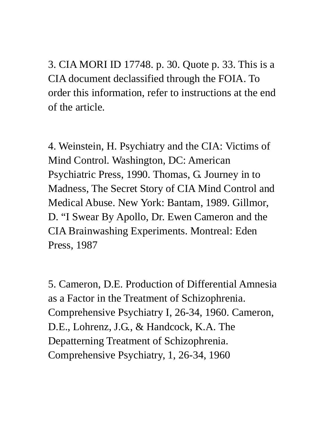3. CIA MORI ID 17748. p. 30. Quote p. 33. This is a CIA document declassified through the FOIA. To order this information, refer to instructions at the end of the article.

4. Weinstein, H. Psychiatry and the CIA: Victims of Mind Control. Washington, DC: American Psychiatric Press, 1990. Thomas, G. Journey in to Madness, The Secret Story of CIA Mind Control and Medical Abuse. New York: Bantam, 1989. Gillmor, D. "I Swear By Apollo, Dr. Ewen Cameron and the CIA Brainwashing Experiments. Montreal: Eden Press, 1987

5. Cameron, D.E. Production of Differential Amnesia as a Factor in the Treatment of Schizophrenia. Comprehensive Psychiatry I, 26-34, 1960. Cameron, D.E., Lohrenz, J.G., & Handcock, K.A. The Depatterning Treatment of Schizophrenia. Comprehensive Psychiatry, 1, 26-34, 1960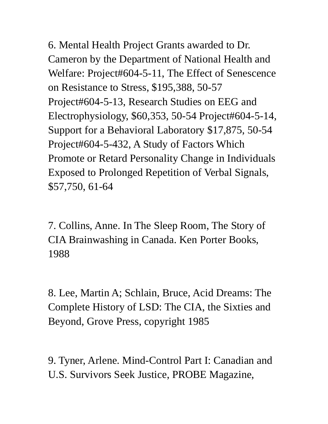6. Mental Health Project Grants awarded to Dr. Cameron by the Department of National Health and Welfare: Project#604-5-11, The Effect of Senescence on Resistance to Stress, \$195,388, 50-57 Project#604-5-13, Research Studies on EEG and Electrophysiology, \$60,353, 50-54 Project#604-5-14, Support for a Behavioral Laboratory \$17,875, 50-54 Project#604-5-432, A Study of Factors Which Promote or Retard Personality Change in Individuals Exposed to Prolonged Repetition of Verbal Signals, \$57,750, 61-64

7. Collins, Anne. In The Sleep Room, The Story of CIA Brainwashing in Canada. Ken Porter Books, 1988

8. Lee, Martin A; Schlain, Bruce, Acid Dreams: The Complete History of LSD: The CIA, the Sixties and Beyond, Grove Press, copyright 1985

9. Tyner, Arlene. Mind-Control Part I: Canadian and U.S. Survivors Seek Justice, PROBE Magazine,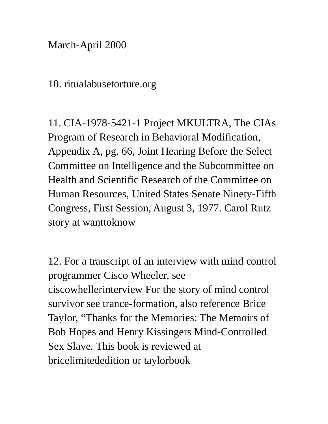March-April 2000

#### 10. ritualabusetorture.org

11. CIA-1978-5421-1 Project MKULTRA, The CIAs Program of Research in Behavioral Modification, Appendix A, pg. 66, Joint Hearing Before the Select Committee on Intelligence and the Subcommittee on Health and Scientific Research of the Committee on Human Resources, United States Senate Ninety-Fifth Congress, First Session, August 3, 1977. Carol Rutz story at wanttoknow

12. For a transcript of an interview with mind control programmer Cisco Wheeler, see ciscowhellerinterview For the story of mind control survivor see trance-formation, also reference Brice Taylor, "Thanks for the Memories: The Memoirs of Bob Hopes and Henry Kissingers Mind-Controlled Sex Slave. This book is reviewed at bricelimitededition or taylorbook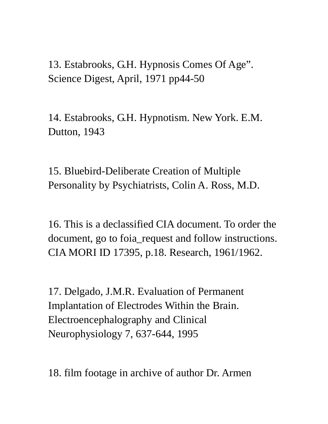## 13. Estabrooks, G.H. Hypnosis Comes Of Age". Science Digest, April, 1971 pp44-50

14. Estabrooks, G.H. Hypnotism. New York. E.M. Dutton, 1943

15. Bluebird-Deliberate Creation of Multiple Personality by Psychiatrists, Colin A. Ross, M.D.

16. This is a declassified CIA document. To order the document, go to foia\_request and follow instructions. CIA MORI ID 17395, p.18. Research, 1961/1962.

17. Delgado, J.M.R. Evaluation of Permanent Implantation of Electrodes Within the Brain. Electroencephalography and Clinical Neurophysiology 7, 637-644, 1995

18. film footage in archive of author Dr. Armen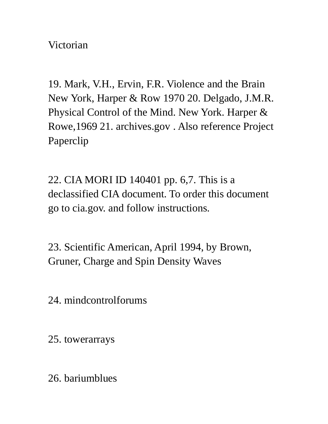Victorian

19. Mark, V.H., Ervin, F.R. Violence and the Brain New York, Harper & Row 1970 20. Delgado, J.M.R. Physical Control of the Mind. New York. Harper & Rowe,1969 21. archives.gov . Also reference Project Paperclip

22. CIA MORI ID 140401 pp. 6,7. This is a declassified CIA document. To order this document go to cia.gov. and follow instructions.

23. Scientific American, April 1994, by Brown, Gruner, Charge and Spin Density Waves

24. mindcontrolforums

25. towerarrays

26. bariumblues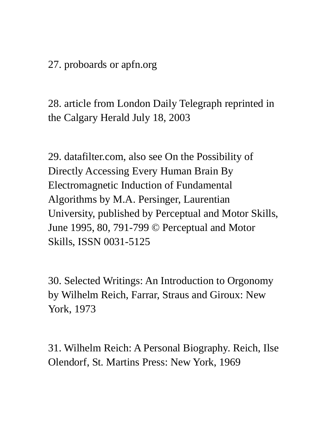27. proboards or apfn.org

28. article from London Daily Telegraph reprinted in the Calgary Herald July 18, 2003

29. datafilter.com, also see On the Possibility of Directly Accessing Every Human Brain By Electromagnetic Induction of Fundamental Algorithms by M.A. Persinger, Laurentian University, published by Perceptual and Motor Skills, June 1995, 80, 791-799 © Perceptual and Motor Skills, ISSN 0031-5125

30. Selected Writings: An Introduction to Orgonomy by Wilhelm Reich, Farrar, Straus and Giroux: New York, 1973

31. Wilhelm Reich: A Personal Biography. Reich, Ilse Olendorf, St. Martins Press: New York, 1969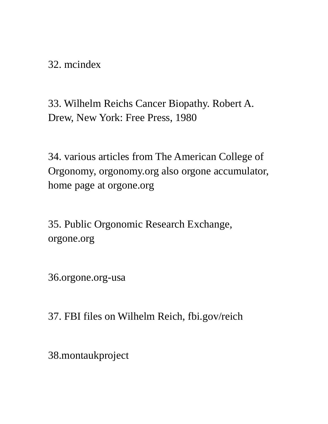32. mcindex

33. Wilhelm Reichs Cancer Biopathy. Robert A. Drew, New York: Free Press, 1980

34. various articles from The American College of Orgonomy, orgonomy.org also orgone accumulator, home page at orgone.org

35. Public Orgonomic Research Exchange, orgone.org

36.orgone.org-usa

37. FBI files on Wilhelm Reich, fbi.gov/reich

38.montaukproject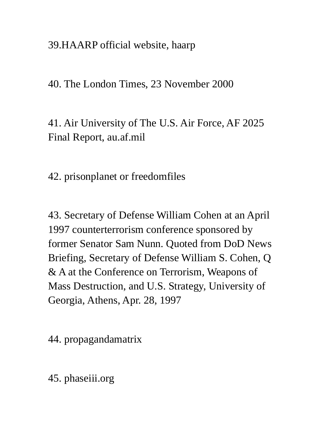39.HAARP official website, haarp

40. The London Times, 23 November 2000

41. Air University of The U.S. Air Force, AF 2025 Final Report, au.af.mil

42. prisonplanet or freedomfiles

43. Secretary of Defense William Cohen at an April 1997 counterterrorism conference sponsored by former Senator Sam Nunn. Quoted from DoD News Briefing, Secretary of Defense William S. Cohen, Q & A at the Conference on Terrorism, Weapons of Mass Destruction, and U.S. Strategy, University of Georgia, Athens, Apr. 28, 1997

44. propagandamatrix

45. phaseiii.org